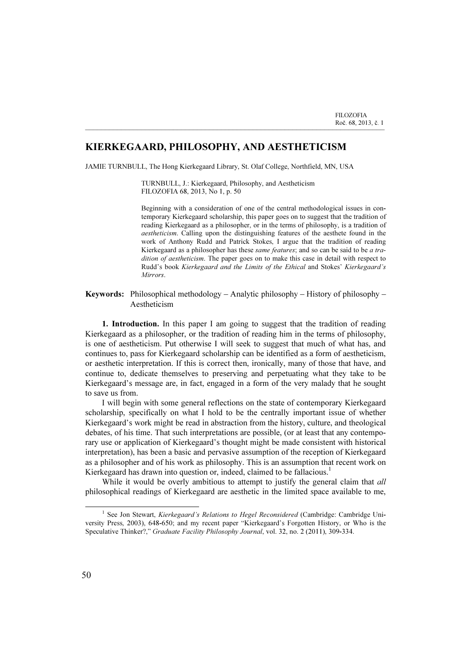## KIERKEGAARD, PHILOSOPHY, AND AESTHETICISM

JAMIE TURNBULL, The Hong Kierkegaard Library, St. Olaf College, Northfield, MN, USA

TURNBULL, J.: Kierkegaard, Philosophy, and Aestheticism FILOZOFIA 68, 2013, No 1, p. 50

\_\_\_\_\_\_\_\_\_\_\_\_\_\_\_\_\_\_\_\_\_\_\_\_\_\_\_\_\_\_\_\_\_\_\_\_\_\_\_\_\_\_\_\_\_\_\_\_\_\_\_\_\_\_\_\_\_\_\_\_\_\_\_\_\_\_\_\_\_\_\_\_\_\_\_

Beginning with a consideration of one of the central methodological issues in contemporary Kierkegaard scholarship, this paper goes on to suggest that the tradition of reading Kierkegaard as a philosopher, or in the terms of philosophy, is a tradition of aestheticism. Calling upon the distinguishing features of the aesthete found in the work of Anthony Rudd and Patrick Stokes, I argue that the tradition of reading Kierkegaard as a philosopher has these same features; and so can be said to be a tradition of aestheticism. The paper goes on to make this case in detail with respect to Rudd's book Kierkegaard and the Limits of the Ethical and Stokes' Kierkegaard's **Mirrors**.

**Keywords:** Philosophical methodology – Analytic philosophy – History of philosophy – Aestheticism

1. Introduction. In this paper I am going to suggest that the tradition of reading Kierkegaard as a philosopher, or the tradition of reading him in the terms of philosophy, is one of aestheticism. Put otherwise I will seek to suggest that much of what has, and continues to, pass for Kierkegaard scholarship can be identified as a form of aestheticism, or aesthetic interpretation. If this is correct then, ironically, many of those that have, and continue to, dedicate themselves to preserving and perpetuating what they take to be Kierkegaard's message are, in fact, engaged in a form of the very malady that he sought to save us from.

I will begin with some general reflections on the state of contemporary Kierkegaard scholarship, specifically on what I hold to be the centrally important issue of whether Kierkegaard's work might be read in abstraction from the history, culture, and theological debates, of his time. That such interpretations are possible, (or at least that any contemporary use or application of Kierkegaard's thought might be made consistent with historical interpretation), has been a basic and pervasive assumption of the reception of Kierkegaard as a philosopher and of his work as philosophy. This is an assumption that recent work on Kierkegaard has drawn into question or, indeed, claimed to be fallacious.<sup>1</sup>

While it would be overly ambitious to attempt to justify the general claim that *all* philosophical readings of Kierkegaard are aesthetic in the limited space available to me,

<sup>&</sup>lt;sup>1</sup> See Jon Stewart, Kierkegaard's Relations to Hegel Reconsidered (Cambridge: Cambridge University Press, 2003), 648-650; and my recent paper "Kierkegaard's Forgotten History, or Who is the Speculative Thinker?," Graduate Facility Philosophy Journal, vol. 32, no. 2 (2011), 309-334.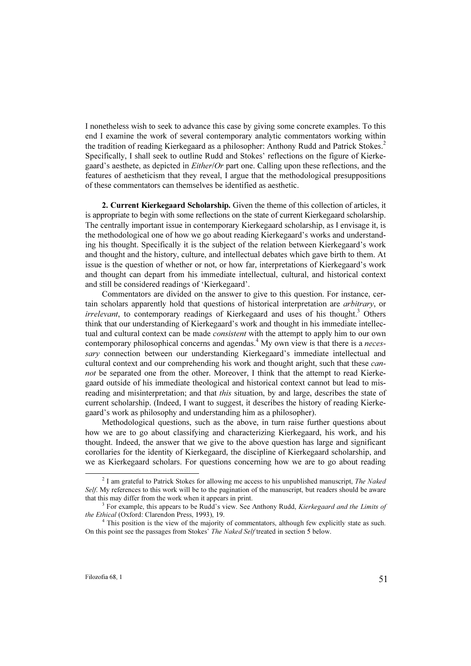I nonetheless wish to seek to advance this case by giving some concrete examples. To this end I examine the work of several contemporary analytic commentators working within the tradition of reading Kierkegaard as a philosopher: Anthony Rudd and Patrick Stokes.<sup>2</sup> Specifically, I shall seek to outline Rudd and Stokes' reflections on the figure of Kierkegaard's aesthete, as depicted in Either/Or part one. Calling upon these reflections, and the features of aestheticism that they reveal, I argue that the methodological presuppositions of these commentators can themselves be identified as aesthetic.

2. Current Kierkegaard Scholarship. Given the theme of this collection of articles, it is appropriate to begin with some reflections on the state of current Kierkegaard scholarship. The centrally important issue in contemporary Kierkegaard scholarship, as I envisage it, is the methodological one of how we go about reading Kierkegaard's works and understanding his thought. Specifically it is the subject of the relation between Kierkegaard's work and thought and the history, culture, and intellectual debates which gave birth to them. At issue is the question of whether or not, or how far, interpretations of Kierkegaard's work and thought can depart from his immediate intellectual, cultural, and historical context and still be considered readings of 'Kierkegaard'.

Commentators are divided on the answer to give to this question. For instance, certain scholars apparently hold that questions of historical interpretation are arbitrary, or  $\frac{1}{2}$  irrelevant, to contemporary readings of Kierkegaard and uses of his thought.<sup>3</sup> Others think that our understanding of Kierkegaard's work and thought in his immediate intellectual and cultural context can be made *consistent* with the attempt to apply him to our own contemporary philosophical concerns and agendas.<sup>4</sup> My own view is that there is a *neces*sary connection between our understanding Kierkegaard's immediate intellectual and cultural context and our comprehending his work and thought aright, such that these *can*not be separated one from the other. Moreover, I think that the attempt to read Kierkegaard outside of his immediate theological and historical context cannot but lead to misreading and misinterpretation; and that *this* situation, by and large, describes the state of current scholarship. (Indeed, I want to suggest, it describes the history of reading Kierkegaard's work as philosophy and understanding him as a philosopher).

Methodological questions, such as the above, in turn raise further questions about how we are to go about classifying and characterizing Kierkegaard, his work, and his thought. Indeed, the answer that we give to the above question has large and significant corollaries for the identity of Kierkegaard, the discipline of Kierkegaard scholarship, and we as Kierkegaard scholars. For questions concerning how we are to go about reading

<sup>&</sup>lt;sup>2</sup> I am grateful to Patrick Stokes for allowing me access to his unpublished manuscript, *The Naked* Self. My references to this work will be to the pagination of the manuscript, but readers should be aware that this may differ from the work when it appears in print.

 $3$  For example, this appears to be Rudd's view. See Anthony Rudd, Kierkegaard and the Limits of the Ethical (Oxford: Clarendon Press, 1993), 19.

<sup>&</sup>lt;sup>4</sup> This position is the view of the majority of commentators, although few explicitly state as such. On this point see the passages from Stokes' The Naked Self treated in section 5 below.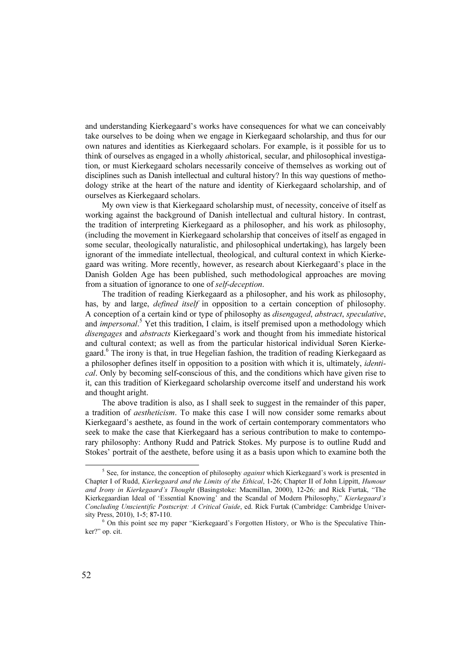and understanding Kierkegaard's works have consequences for what we can conceivably take ourselves to be doing when we engage in Kierkegaard scholarship, and thus for our own natures and identities as Kierkegaard scholars. For example, is it possible for us to think of ourselves as engaged in a wholly ahistorical, secular, and philosophical investigation, or must Kierkegaard scholars necessarily conceive of themselves as working out of disciplines such as Danish intellectual and cultural history? In this way questions of methodology strike at the heart of the nature and identity of Kierkegaard scholarship, and of ourselves as Kierkegaard scholars.

My own view is that Kierkegaard scholarship must, of necessity, conceive of itself as working against the background of Danish intellectual and cultural history. In contrast, the tradition of interpreting Kierkegaard as a philosopher, and his work as philosophy, (including the movement in Kierkegaard scholarship that conceives of itself as engaged in some secular, theologically naturalistic, and philosophical undertaking), has largely been ignorant of the immediate intellectual, theological, and cultural context in which Kierkegaard was writing. More recently, however, as research about Kierkegaard's place in the Danish Golden Age has been published, such methodological approaches are moving from a situation of ignorance to one of self-deception.

The tradition of reading Kierkegaard as a philosopher, and his work as philosophy, has, by and large, *defined itself* in opposition to a certain conception of philosophy. A conception of a certain kind or type of philosophy as disengaged, abstract, speculative, and *impersonal*.<sup>5</sup> Yet this tradition, I claim, is itself premised upon a methodology which disengages and abstracts Kierkegaard's work and thought from his immediate historical and cultural context; as well as from the particular historical individual Søren Kierkegaard.<sup>6</sup> The irony is that, in true Hegelian fashion, the tradition of reading Kierkegaard as a philosopher defines itself in opposition to a position with which it is, ultimately, *identi*cal. Only by becoming self-conscious of this, and the conditions which have given rise to it, can this tradition of Kierkegaard scholarship overcome itself and understand his work and thought aright.

The above tradition is also, as I shall seek to suggest in the remainder of this paper, a tradition of aestheticism. To make this case I will now consider some remarks about Kierkegaard's aesthete, as found in the work of certain contemporary commentators who seek to make the case that Kierkegaard has a serious contribution to make to contemporary philosophy: Anthony Rudd and Patrick Stokes. My purpose is to outline Rudd and Stokes' portrait of the aesthete, before using it as a basis upon which to examine both the

<sup>&</sup>lt;sup>5</sup> See, for instance, the conception of philosophy *against* which Kierkegaard's work is presented in Chapter I of Rudd, Kierkegaard and the Limits of the Ethical, 1-26; Chapter II of John Lippitt, Humour and Irony in Kierkegaard's Thought (Basingstoke: Macmillan, 2000), 12-26; and Rick Furtak, "The Kierkegaardian Ideal of 'Essential Knowing' and the Scandal of Modern Philosophy," Kierkegaard's Concluding Unscientific Postscript: A Critical Guide, ed. Rick Furtak (Cambridge: Cambridge University Press, 2010), 1-5; 87-110.

 $6$  On this point see my paper "Kierkegaard's Forgotten History, or Who is the Speculative Thinker?" op. cit.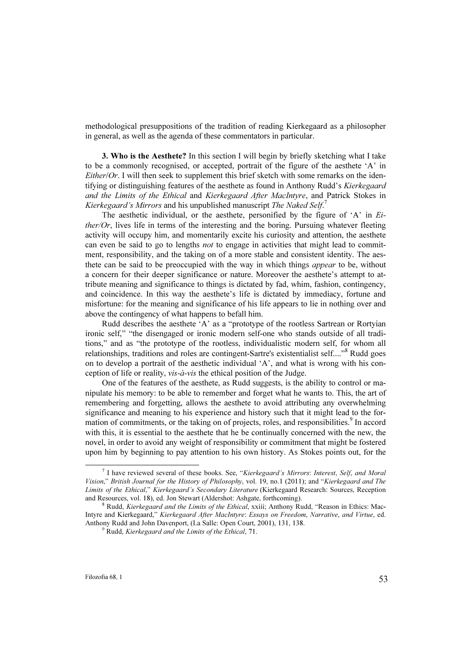methodological presuppositions of the tradition of reading Kierkegaard as a philosopher in general, as well as the agenda of these commentators in particular.

3. Who is the Aesthete? In this section I will begin by briefly sketching what I take to be a commonly recognised, or accepted, portrait of the figure of the aesthete 'A' in *Either/Or.* I will then seek to supplement this brief sketch with some remarks on the identifying or distinguishing features of the aesthete as found in Anthony Rudd's Kierkegaard and the Limits of the Ethical and Kierkegaard After MacIntyre, and Patrick Stokes in Kierkegaard's Mirrors and his unpublished manuscript The Naked Self.<sup>7</sup>

The aesthetic individual, or the aesthete, personified by the figure of  $A'$  in  $E_i$ ther/Or, lives life in terms of the interesting and the boring. Pursuing whatever fleeting activity will occupy him, and momentarily excite his curiosity and attention, the aesthete can even be said to go to lengths *not* to engage in activities that might lead to commitment, responsibility, and the taking on of a more stable and consistent identity. The aesthete can be said to be preoccupied with the way in which things *appear* to be, without a concern for their deeper significance or nature. Moreover the aesthete's attempt to attribute meaning and significance to things is dictated by fad, whim, fashion, contingency, and coincidence. In this way the aesthete's life is dictated by immediacy, fortune and misfortune: for the meaning and significance of his life appears to lie in nothing over and above the contingency of what happens to befall him.

Rudd describes the aesthete 'A' as a "prototype of the rootless Sartrean or Rortyian ironic self," "the disengaged or ironic modern self-one who stands outside of all traditions," and as "the prototype of the rootless, individualistic modern self, for whom all relationships, traditions and roles are contingent-Sartre's existentialist self...."<sup>8</sup> Rudd goes on to develop a portrait of the aesthetic individual 'A', and what is wrong with his conception of life or reality, vis-à-vis the ethical position of the Judge.

One of the features of the aesthete, as Rudd suggests, is the ability to control or manipulate his memory: to be able to remember and forget what he wants to. This, the art of remembering and forgetting, allows the aesthete to avoid attributing any overwhelming significance and meaning to his experience and history such that it might lead to the formation of commitments, or the taking on of projects, roles, and responsibilities.<sup>9</sup> In accord with this, it is essential to the aesthete that he be continually concerned with the new, the novel, in order to avoid any weight of responsibility or commitment that might be fostered upon him by beginning to pay attention to his own history. As Stokes points out, for the

<sup>&</sup>lt;sup>7</sup> I have reviewed several of these books. See, "Kierkegaard's Mirrors: Interest, Self, and Moral Vision," British Journal for the History of Philosophy, vol. 19, no.1 (2011); and "Kierkegaard and The Limits of the Ethical," Kierkegaard's Secondary Literature (Kierkegaard Research: Sources, Reception and Resources, vol. 18), ed. Jon Stewart (Aldershot: Ashgate, forthcoming). <sup>8</sup>

 $8$  Rudd, *Kierkegaard and the Limits of the Ethical*, xxiii; Anthony Rudd, "Reason in Ethics: Mac-Intyre and Kierkegaard," Kierkegaard After MacIntyre: Essays on Freedom, Narrative, and Virtue, ed. Anthony Rudd and John Davenport, (La Salle: Open Court, 2001), 131, 138.

 $\frac{9}{9}$  Rudd, Kierkegaard and the Limits of the Ethical, 71.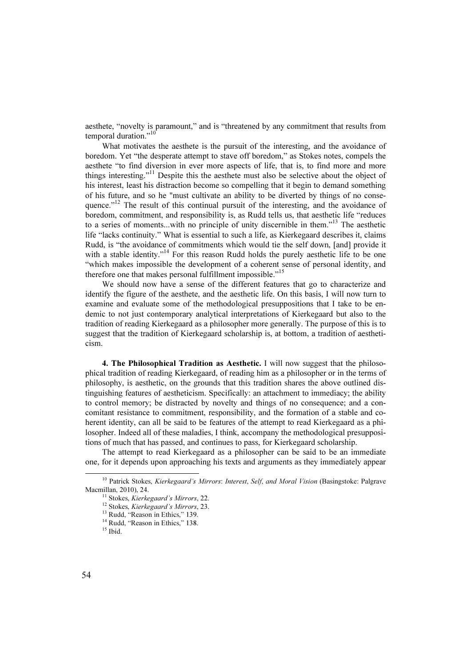aesthete, "novelty is paramount," and is "threatened by any commitment that results from temporal duration."<sup>10</sup>

What motivates the aesthete is the pursuit of the interesting, and the avoidance of boredom. Yet "the desperate attempt to stave off boredom," as Stokes notes, compels the aesthete "to find diversion in ever more aspects of life, that is, to find more and more things interesting."<sup>11</sup> Despite this the aesthete must also be selective about the object of his interest, least his distraction become so compelling that it begin to demand something of his future, and so he "must cultivate an ability to be diverted by things of no consequence. $12$ <sup>12</sup> The result of this continual pursuit of the interesting, and the avoidance of boredom, commitment, and responsibility is, as Rudd tells us, that aesthetic life "reduces to a series of moments...with no principle of unity discernible in them."<sup>13</sup> The aesthetic life "lacks continuity." What is essential to such a life, as Kierkegaard describes it, claims Rudd, is "the avoidance of commitments which would tie the self down, [and] provide it with a stable identity."<sup>14</sup> For this reason Rudd holds the purely aesthetic life to be one "which makes impossible the development of a coherent sense of personal identity, and therefore one that makes personal fulfillment impossible."<sup>15</sup>

We should now have a sense of the different features that go to characterize and identify the figure of the aesthete, and the aesthetic life. On this basis, I will now turn to examine and evaluate some of the methodological presuppositions that I take to be endemic to not just contemporary analytical interpretations of Kierkegaard but also to the tradition of reading Kierkegaard as a philosopher more generally. The purpose of this is to suggest that the tradition of Kierkegaard scholarship is, at bottom, a tradition of aestheticism.

4. The Philosophical Tradition as Aesthetic. I will now suggest that the philosophical tradition of reading Kierkegaard, of reading him as a philosopher or in the terms of philosophy, is aesthetic, on the grounds that this tradition shares the above outlined distinguishing features of aestheticism. Specifically: an attachment to immediacy; the ability to control memory; be distracted by novelty and things of no consequence; and a concomitant resistance to commitment, responsibility, and the formation of a stable and coherent identity, can all be said to be features of the attempt to read Kierkegaard as a philosopher. Indeed all of these maladies, I think, accompany the methodological presuppositions of much that has passed, and continues to pass, for Kierkegaard scholarship.

The attempt to read Kierkegaard as a philosopher can be said to be an immediate one, for it depends upon approaching his texts and arguments as they immediately appear

<sup>&</sup>lt;sup>10</sup> Patrick Stokes, Kierkegaard's Mirrors: Interest, Self, and Moral Vision (Basingstoke: Palgrave Macmillan, 2010), 24.

<sup>&</sup>lt;sup>11</sup> Stokes, *Kierkegaard's Mirrors*, 22. <sup>12</sup> Stokes, *Kierkegaard's Mirrors*, 23. <sup>13</sup> Rudd, "Reason in Ethics," 139.

<sup>&</sup>lt;sup>14</sup> Rudd, "Reason in Ethics," 138.

 $15$  Ibid.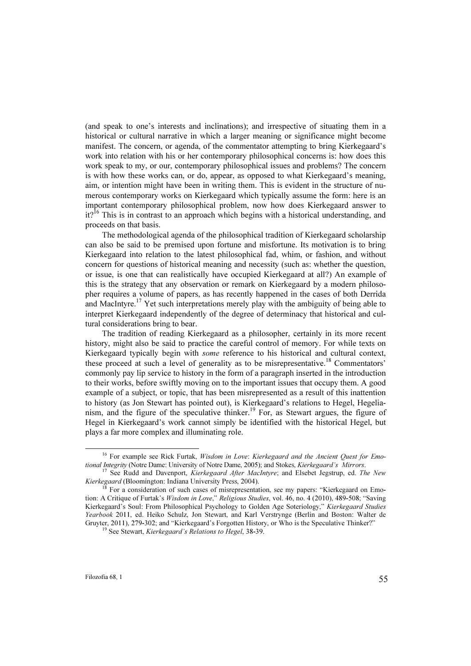(and speak to one's interests and inclinations); and irrespective of situating them in a historical or cultural narrative in which a larger meaning or significance might become manifest. The concern, or agenda, of the commentator attempting to bring Kierkegaard's work into relation with his or her contemporary philosophical concerns is: how does this work speak to my, or our, contemporary philosophical issues and problems? The concern is with how these works can, or do, appear, as opposed to what Kierkegaard's meaning, aim, or intention might have been in writing them. This is evident in the structure of numerous contemporary works on Kierkegaard which typically assume the form: here is an important contemporary philosophical problem, now how does Kierkegaard answer to  $it?$ <sup>16</sup> This is in contrast to an approach which begins with a historical understanding, and proceeds on that basis.

The methodological agenda of the philosophical tradition of Kierkegaard scholarship can also be said to be premised upon fortune and misfortune. Its motivation is to bring Kierkegaard into relation to the latest philosophical fad, whim, or fashion, and without concern for questions of historical meaning and necessity (such as: whether the question, or issue, is one that can realistically have occupied Kierkegaard at all?) An example of this is the strategy that any observation or remark on Kierkegaard by a modern philosopher requires a volume of papers, as has recently happened in the cases of both Derrida and MacIntyre.<sup>17</sup> Yet such interpretations merely play with the ambiguity of being able to interpret Kierkegaard independently of the degree of determinacy that historical and cultural considerations bring to bear.

The tradition of reading Kierkegaard as a philosopher, certainly in its more recent history, might also be said to practice the careful control of memory. For while texts on Kierkegaard typically begin with *some* reference to his historical and cultural context, these proceed at such a level of generality as to be misrepresentative.<sup>18</sup> Commentators' commonly pay lip service to history in the form of a paragraph inserted in the introduction to their works, before swiftly moving on to the important issues that occupy them. A good example of a subject, or topic, that has been misrepresented as a result of this inattention to history (as Jon Stewart has pointed out), is Kierkegaard's relations to Hegel, Hegelianism, and the figure of the speculative thinker.<sup>19</sup> For, as Stewart argues, the figure of Hegel in Kierkegaard's work cannot simply be identified with the historical Hegel, but plays a far more complex and illuminating role.

<sup>&</sup>lt;sup>16</sup> For example see Rick Furtak, *Wisdom in Love: Kierkegaard and the Ancient Quest for Emotional Integrity* (Notre Dame: University of Notre Dame, 2005); and Stokes, *Kierkegaard's Mirrors*.

<sup>&</sup>lt;sup>17</sup> See Rudd and Davenport, Kierkegaard After MacIntyre; and Elsebet Jegstrup, ed. The New *Kierkegaard* (Bloomington: Indiana University Press, 2004).<br><sup>18</sup> For a consideration of such cases of misrepresentation, see my papers: "Kierkegaard on Emo-

tion: A Critique of Furtak's Wisdom in Love," Religious Studies, vol. 46, no. 4 (2010), 489-508; "Saving Kierkegaard's Soul: From Philosophical Psychology to Golden Age Soteriology," Kierkegaard Studies Yearbook 2011, ed. Heiko Schulz, Jon Stewart, and Karl Verstrynge (Berlin and Boston: Walter de Gruyter, 2011), 279-302; and "Kierkegaard's Forgotten History, or Who is the Speculative Thinker?" <sup>19</sup> See Stewart, *Kierkegaard's Relations to Hegel*, 38-39.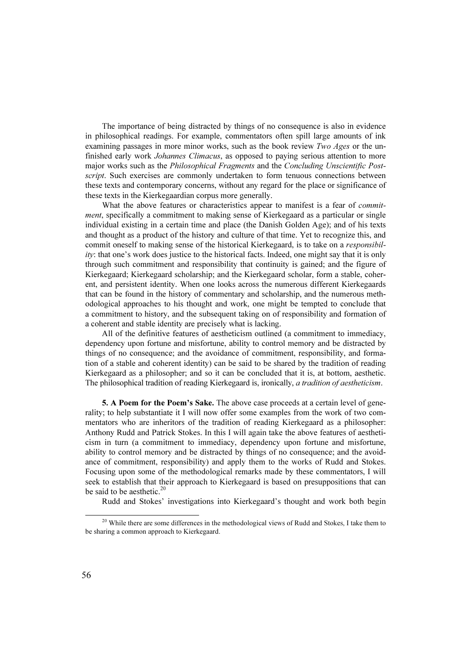The importance of being distracted by things of no consequence is also in evidence in philosophical readings. For example, commentators often spill large amounts of ink examining passages in more minor works, such as the book review Two Ages or the unfinished early work *Johannes Climacus*, as opposed to paying serious attention to more major works such as the Philosophical Fragments and the Concluding Unscientific Postscript. Such exercises are commonly undertaken to form tenuous connections between these texts and contemporary concerns, without any regard for the place or significance of these texts in the Kierkegaardian corpus more generally.

What the above features or characteristics appear to manifest is a fear of *commit*ment, specifically a commitment to making sense of Kierkegaard as a particular or single individual existing in a certain time and place (the Danish Golden Age); and of his texts and thought as a product of the history and culture of that time. Yet to recognize this, and commit oneself to making sense of the historical Kierkegaard, is to take on a *responsibil*ity: that one's work does justice to the historical facts. Indeed, one might say that it is only through such commitment and responsibility that continuity is gained; and the figure of Kierkegaard; Kierkegaard scholarship; and the Kierkegaard scholar, form a stable, coherent, and persistent identity. When one looks across the numerous different Kierkegaards that can be found in the history of commentary and scholarship, and the numerous methodological approaches to his thought and work, one might be tempted to conclude that a commitment to history, and the subsequent taking on of responsibility and formation of a coherent and stable identity are precisely what is lacking.

All of the definitive features of aestheticism outlined (a commitment to immediacy, dependency upon fortune and misfortune, ability to control memory and be distracted by things of no consequence; and the avoidance of commitment, responsibility, and formation of a stable and coherent identity) can be said to be shared by the tradition of reading Kierkegaard as a philosopher; and so it can be concluded that it is, at bottom, aesthetic. The philosophical tradition of reading Kierkegaard is, ironically, a tradition of aestheticism.

5. A Poem for the Poem's Sake. The above case proceeds at a certain level of generality; to help substantiate it I will now offer some examples from the work of two commentators who are inheritors of the tradition of reading Kierkegaard as a philosopher: Anthony Rudd and Patrick Stokes. In this I will again take the above features of aestheticism in turn (a commitment to immediacy, dependency upon fortune and misfortune, ability to control memory and be distracted by things of no consequence; and the avoidance of commitment, responsibility) and apply them to the works of Rudd and Stokes. Focusing upon some of the methodological remarks made by these commentators, I will seek to establish that their approach to Kierkegaard is based on presuppositions that can be said to be aesthetic.<sup>20</sup>

Rudd and Stokes' investigations into Kierkegaard's thought and work both begin

<sup>&</sup>lt;sup>20</sup> While there are some differences in the methodological views of Rudd and Stokes, I take them to be sharing a common approach to Kierkegaard.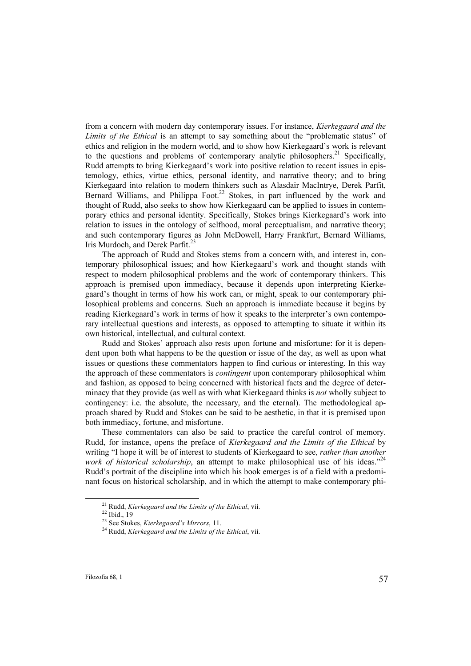from a concern with modern day contemporary issues. For instance, Kierkegaard and the Limits of the Ethical is an attempt to say something about the "problematic status" of ethics and religion in the modern world, and to show how Kierkegaard's work is relevant to the questions and problems of contemporary analytic philosophers.<sup>21</sup> Specifically, Rudd attempts to bring Kierkegaard's work into positive relation to recent issues in epistemology, ethics, virtue ethics, personal identity, and narrative theory; and to bring Kierkegaard into relation to modern thinkers such as Alasdair MacIntrye, Derek Parfit, Bernard Williams, and Philippa Foot.<sup>22</sup> Stokes, in part influenced by the work and thought of Rudd, also seeks to show how Kierkegaard can be applied to issues in contemporary ethics and personal identity. Specifically, Stokes brings Kierkegaard's work into relation to issues in the ontology of selfhood, moral perceptualism, and narrative theory; and such contemporary figures as John McDowell, Harry Frankfurt, Bernard Williams, Iris Murdoch, and Derek Parfit.<sup>23</sup>

The approach of Rudd and Stokes stems from a concern with, and interest in, contemporary philosophical issues; and how Kierkegaard's work and thought stands with respect to modern philosophical problems and the work of contemporary thinkers. This approach is premised upon immediacy, because it depends upon interpreting Kierkegaard's thought in terms of how his work can, or might, speak to our contemporary philosophical problems and concerns. Such an approach is immediate because it begins by reading Kierkegaard's work in terms of how it speaks to the interpreter's own contemporary intellectual questions and interests, as opposed to attempting to situate it within its own historical, intellectual, and cultural context.

Rudd and Stokes' approach also rests upon fortune and misfortune: for it is dependent upon both what happens to be the question or issue of the day, as well as upon what issues or questions these commentators happen to find curious or interesting. In this way the approach of these commentators is *contingent* upon contemporary philosophical whim and fashion, as opposed to being concerned with historical facts and the degree of determinacy that they provide (as well as with what Kierkegaard thinks is not wholly subject to contingency: i.e. the absolute, the necessary, and the eternal). The methodological approach shared by Rudd and Stokes can be said to be aesthetic, in that it is premised upon both immediacy, fortune, and misfortune.

These commentators can also be said to practice the careful control of memory. Rudd, for instance, opens the preface of Kierkegaard and the Limits of the Ethical by writing "I hope it will be of interest to students of Kierkegaard to see, rather than another work of historical scholarship, an attempt to make philosophical use of his ideas."<sup>24</sup> Rudd's portrait of the discipline into which his book emerges is of a field with a predominant focus on historical scholarship, and in which the attempt to make contemporary phi-

<sup>&</sup>lt;sup>21</sup> Rudd, *Kierkegaard and the Limits of the Ethical*, vii.<br><sup>22</sup> Ibid., 19<br><sup>23</sup> See Stokes, *Kierkegaard's Mirrors*, 11.

 $24$  Rudd, Kierkegaard and the Limits of the Ethical, vii.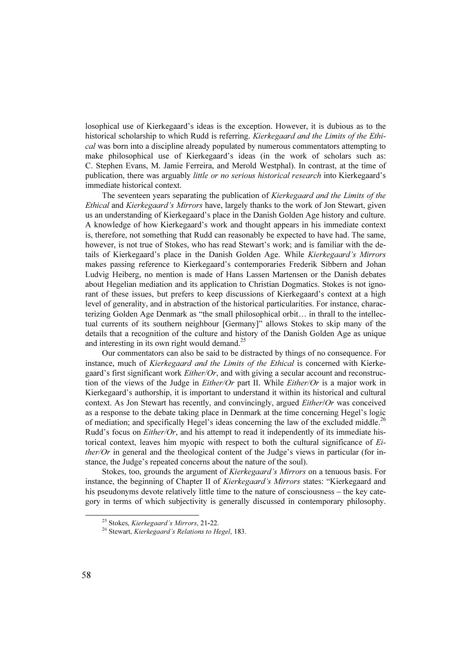losophical use of Kierkegaard's ideas is the exception. However, it is dubious as to the historical scholarship to which Rudd is referring. Kierkegaard and the Limits of the Ethical was born into a discipline already populated by numerous commentators attempting to make philosophical use of Kierkegaard's ideas (in the work of scholars such as: C. Stephen Evans, M. Jamie Ferreira, and Merold Westphal). In contrast, at the time of publication, there was arguably little or no serious historical research into Kierkegaard's immediate historical context.

The seventeen years separating the publication of Kierkegaard and the Limits of the Ethical and Kierkegaard's Mirrors have, largely thanks to the work of Jon Stewart, given us an understanding of Kierkegaard's place in the Danish Golden Age history and culture. A knowledge of how Kierkegaard's work and thought appears in his immediate context is, therefore, not something that Rudd can reasonably be expected to have had. The same, however, is not true of Stokes, who has read Stewart's work; and is familiar with the details of Kierkegaard's place in the Danish Golden Age. While Kierkegaard's Mirrors makes passing reference to Kierkegaard's contemporaries Frederik Sibbern and Johan Ludvig Heiberg, no mention is made of Hans Lassen Martensen or the Danish debates about Hegelian mediation and its application to Christian Dogmatics. Stokes is not ignorant of these issues, but prefers to keep discussions of Kierkegaard's context at a high level of generality, and in abstraction of the historical particularities. For instance, characterizing Golden Age Denmark as "the small philosophical orbit… in thrall to the intellectual currents of its southern neighbour [Germany]" allows Stokes to skip many of the details that a recognition of the culture and history of the Danish Golden Age as unique and interesting in its own right would demand.<sup>25</sup>

Our commentators can also be said to be distracted by things of no consequence. For instance, much of Kierkegaard and the Limits of the Ethical is concerned with Kierkegaard's first significant work *Either/Or*, and with giving a secular account and reconstruction of the views of the Judge in *Either/Or* part II. While *Either/Or* is a major work in Kierkegaard's authorship, it is important to understand it within its historical and cultural context. As Jon Stewart has recently, and convincingly, argued Either/Or was conceived as a response to the debate taking place in Denmark at the time concerning Hegel's logic of mediation; and specifically Hegel's ideas concerning the law of the excluded middle.<sup>26</sup> Rudd's focus on *Either/Or*, and his attempt to read it independently of its immediate historical context, leaves him myopic with respect to both the cultural significance of Either/Or in general and the theological content of the Judge's views in particular (for instance, the Judge's repeated concerns about the nature of the soul).

Stokes, too, grounds the argument of Kierkegaard's Mirrors on a tenuous basis. For instance, the beginning of Chapter II of *Kierkegaard's Mirrors* states: "Kierkegaard and his pseudonyms devote relatively little time to the nature of consciousness – the key category in terms of which subjectivity is generally discussed in contemporary philosophy.

<sup>&</sup>lt;sup>25</sup> Stokes, Kierkegaard's Mirrors, 21-22.<br><sup>26</sup> Stewart, Kierkegaard's Relations to Hegel, 183.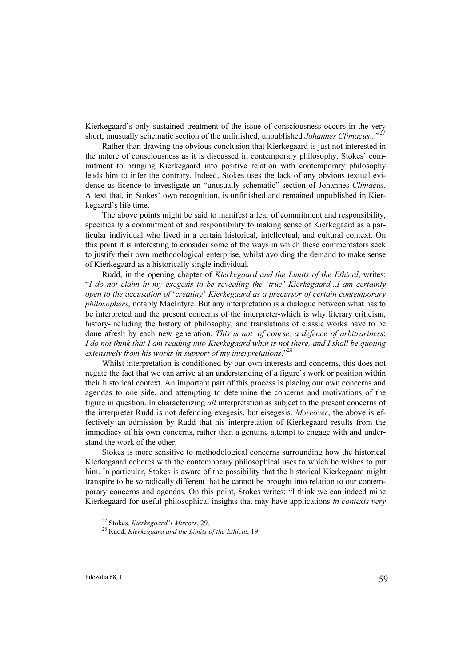Kierkegaard's only sustained treatment of the issue of consciousness occurs in the very short, unusually schematic section of the unfinished, unpublished *Johannes Climacus*..."<sup>27</sup>

Rather than drawing the obvious conclusion that Kierkegaard is just not interested in the nature of consciousness as it is discussed in contemporary philosophy, Stokes' commitment to bringing Kierkegaard into positive relation with contemporary philosophy leads him to infer the contrary. Indeed, Stokes uses the lack of any obvious textual evidence as licence to investigate an "unusually schematic" section of Johannes Climacus. A text that, in Stokes' own recognition, is unfinished and remained unpublished in Kierkegaard's life time.

The above points might be said to manifest a fear of commitment and responsibility, specifically a commitment of and responsibility to making sense of Kierkegaard as a particular individual who lived in a certain historical, intellectual, and cultural context. On this point it is interesting to consider some of the ways in which these commentators seek to justify their own methodological enterprise, whilst avoiding the demand to make sense of Kierkegaard as a historically single individual.

Rudd, in the opening chapter of Kierkegaard and the Limits of the Ethical, writes: "I do not claim in my exegesis to be revealing the 'true' Kierkegaard...I am certainly open to the accusation of 'creating' Kierkegaard as a precursor of certain contemporary philosophers, notably MacIntyre. But any interpretation is a dialogue between what has to be interpreted and the present concerns of the interpreter-which is why literary criticism, history-including the history of philosophy, and translations of classic works have to be done afresh by each new generation. This is not, of course, a defence of arbitrariness; I do not think that I am reading into Kierkegaard what is not there, and I shall be quoting extensively from his works in support of my interpretations."<sup>28</sup>

Whilst interpretation is conditioned by our own interests and concerns, this does not negate the fact that we can arrive at an understanding of a figure's work or position within their historical context. An important part of this process is placing our own concerns and agendas to one side, and attempting to determine the concerns and motivations of the figure in question. In characterizing all interpretation as subject to the present concerns of the interpreter Rudd is not defending exegesis, but eisegesis. Moreover, the above is effectively an admission by Rudd that his interpretation of Kierkegaard results from the immediacy of his own concerns, rather than a genuine attempt to engage with and understand the work of the other.

Stokes is more sensitive to methodological concerns surrounding how the historical Kierkegaard coheres with the contemporary philosophical uses to which he wishes to put him. In particular, Stokes is aware of the possibility that the historical Kierkegaard might transpire to be so radically different that he cannot be brought into relation to our contemporary concerns and agendas. On this point, Stokes writes: "I think we can indeed mine Kierkegaard for useful philosophical insights that may have applications in contexts very

<sup>&</sup>lt;sup>27</sup> Stokes, Kierkegaard's Mirrors, 29.<br><sup>28</sup> Rudd, Kierkegaard and the Limits of the Ethical, 19.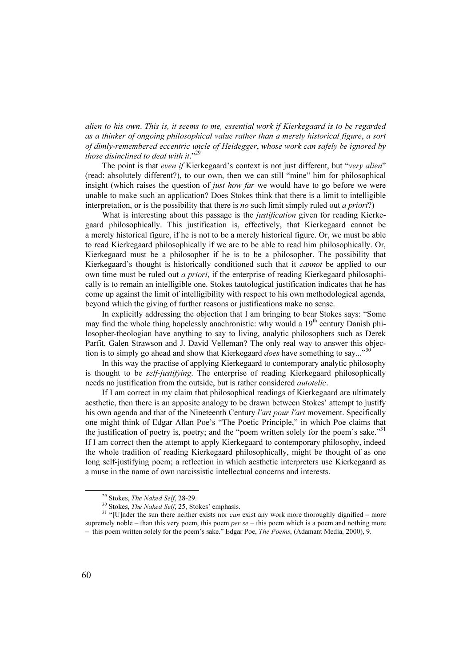alien to his own. This is, it seems to me, essential work if Kierkegaard is to be regarded as a thinker of ongoing philosophical value rather than a merely historical figure, a sort of dimly-remembered eccentric uncle of Heidegger, whose work can safely be ignored by those disinclined to deal with it." $29$ 

The point is that even if Kierkegaard's context is not just different, but "very alien" (read: absolutely different?), to our own, then we can still "mine" him for philosophical insight (which raises the question of *just how far* we would have to go before we were unable to make such an application? Does Stokes think that there is a limit to intelligible interpretation, or is the possibility that there is no such limit simply ruled out a priori?)

What is interesting about this passage is the *justification* given for reading Kierkegaard philosophically. This justification is, effectively, that Kierkegaard cannot be a merely historical figure, if he is not to be a merely historical figure. Or, we must be able to read Kierkegaard philosophically if we are to be able to read him philosophically. Or, Kierkegaard must be a philosopher if he is to be a philosopher. The possibility that Kierkegaard's thought is historically conditioned such that it *cannot* be applied to our own time must be ruled out a priori, if the enterprise of reading Kierkegaard philosophically is to remain an intelligible one. Stokes tautological justification indicates that he has come up against the limit of intelligibility with respect to his own methodological agenda, beyond which the giving of further reasons or justifications make no sense.

In explicitly addressing the objection that I am bringing to bear Stokes says: "Some may find the whole thing hopelessly anachronistic: why would a  $19<sup>th</sup>$  century Danish philosopher-theologian have anything to say to living, analytic philosophers such as Derek Parfit, Galen Strawson and J. David Velleman? The only real way to answer this objection is to simply go ahead and show that Kierkegaard *does* have something to say..."<sup>30</sup>

In this way the practise of applying Kierkegaard to contemporary analytic philosophy is thought to be *self-justifying*. The enterprise of reading Kierkegaard philosophically needs no justification from the outside, but is rather considered autotelic.

If I am correct in my claim that philosophical readings of Kierkegaard are ultimately aesthetic, then there is an apposite analogy to be drawn between Stokes' attempt to justify his own agenda and that of the Nineteenth Century *l'art pour l'art* movement. Specifically one might think of Edgar Allan Poe's "The Poetic Principle," in which Poe claims that the justification of poetry is, poetry; and the "poem written solely for the poem's sake."<sup>31</sup> If I am correct then the attempt to apply Kierkegaard to contemporary philosophy, indeed the whole tradition of reading Kierkegaard philosophically, might be thought of as one long self-justifying poem; a reflection in which aesthetic interpreters use Kierkegaard as a muse in the name of own narcissistic intellectual concerns and interests.

<sup>&</sup>lt;sup>29</sup> Stokes, *The Naked Self*, 28-29.<br><sup>30</sup> Stokes, *The Naked Self*, 25, Stokes' emphasis.<br><sup>31</sup> "[U]nder the sun there neither exists nor *can* exist any work more thoroughly dignified – more supremely noble – than this very poem, this poem  $per$  se – this poem which is a poem and nothing more – this poem written solely for the poem's sake." Edgar Poe, The Poems, (Adamant Media, 2000), 9.